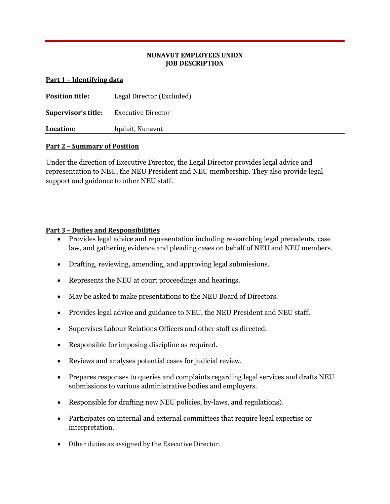## **NUNAVUT EMPLOYEES UNION JOB DESCRIPTION**

#### **Part 1 – Identifying data**

| <b>Position title:</b> | Legal Director (Excluded) |
|------------------------|---------------------------|
| Supervisor's title:    | Executive Director        |
| Location:              | Iqaluit, Nunavut          |

#### **Part 2 – Summary of Position**

Under the direction of Executive Director, the Legal Director provides legal advice and representation to NEU, the NEU President and NEU membership. They also provide legal support and guidance to other NEU staff.

### **Part 3 – Duties and Responsibilities**

- Provides legal advice and representation including researching legal precedents, case law, and gathering evidence and pleading cases on behalf of NEU and NEU members.
- Drafting, reviewing, amending, and approving legal submissions.
- Represents the NEU at court proceedings and hearings.
- May be asked to make presentations to the NEU Board of Directors.
- Provides legal advice and guidance to NEU, the NEU President and NEU staff.
- Supervises Labour Relations Officers and other staff as directed.
- Responsible for imposing discipline as required.
- Reviews and analyses potential cases for judicial review.
- Prepares responses to queries and complaints regarding legal services and drafts NEU submissions to various administrative bodies and employers.
- Responsible for drafting new NEU policies, by-laws, and regulations).
- Participates on internal and external committees that require legal expertise or interpretation.
- Other duties as assigned by the Executive Director.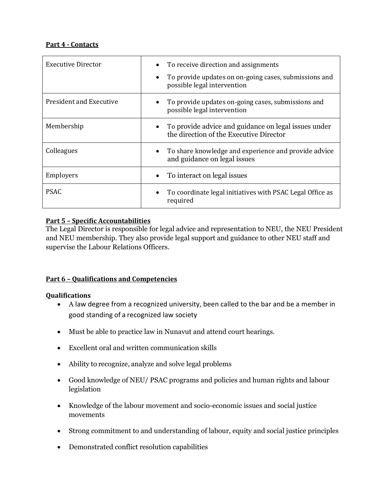## **Part 4 - Contacts**

| Executive Director             | To receive direction and assignments<br>To provide updates on on-going cases, submissions and<br>possible legal intervention |
|--------------------------------|------------------------------------------------------------------------------------------------------------------------------|
| <b>President and Executive</b> | To provide updates on-going cases, submissions and<br>possible legal intervention                                            |
| Membership                     | To provide advice and guidance on legal issues under<br>the direction of the Executive Director                              |
| Colleagues                     | To share knowledge and experience and provide advice<br>and guidance on legal issues                                         |
| Employers                      | To interact on legal issues                                                                                                  |
| <b>PSAC</b>                    | To coordinate legal initiatives with PSAC Legal Office as<br>required                                                        |

## **Part 5 – Specific Accountabilities**

The Legal Director is responsible for legal advice and representation to NEU, the NEU President and NEU membership. They also provide legal support and guidance to other NEU staff and supervise the Labour Relations Officers.

# **Part 6 – Qualifications and Competencies**

### **Qualifications**

- A law degree from a recognized university, been called to the bar and be a member in good standing of a recognized law society
- Must be able to practice law in Nunavut and attend court hearings.
- Excellent oral and written communication skills
- Ability to recognize, analyze and solve legal problems
- Good knowledge of NEU/ PSAC programs and policies and human rights and labour legislation
- Knowledge of the labour movement and socio-economic issues and social justice movements
- Strong commitment to and understanding of labour, equity and social justice principles
- Demonstrated conflict resolution capabilities